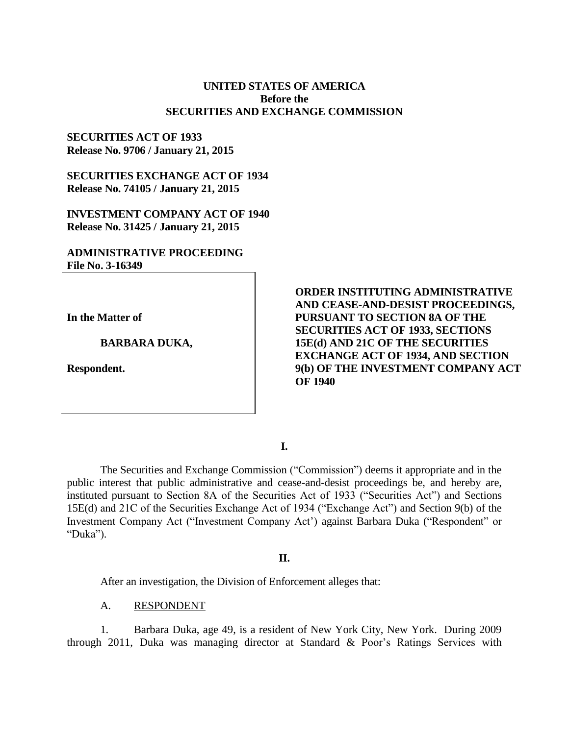## **UNITED STATES OF AMERICA Before the SECURITIES AND EXCHANGE COMMISSION**

### **SECURITIES ACT OF 1933 Release No. 9706 / January 21, 2015**

**SECURITIES EXCHANGE ACT OF 1934 Release No. 74105 / January 21, 2015**

**INVESTMENT COMPANY ACT OF 1940 Release No. 31425 / January 21, 2015**

## **ADMINISTRATIVE PROCEEDING File No. 3-16349**

**In the Matter of**

**BARBARA DUKA,**

**Respondent.**

**ORDER INSTITUTING ADMINISTRATIVE AND CEASE-AND-DESIST PROCEEDINGS, PURSUANT TO SECTION 8A OF THE SECURITIES ACT OF 1933, SECTIONS 15E(d) AND 21C OF THE SECURITIES EXCHANGE ACT OF 1934, AND SECTION 9(b) OF THE INVESTMENT COMPANY ACT OF 1940**

**I.**

The Securities and Exchange Commission ("Commission") deems it appropriate and in the public interest that public administrative and cease-and-desist proceedings be, and hereby are, instituted pursuant to Section 8A of the Securities Act of 1933 ("Securities Act") and Sections 15E(d) and 21C of the Securities Exchange Act of 1934 ("Exchange Act") and Section 9(b) of the Investment Company Act ("Investment Company Act') against Barbara Duka ("Respondent" or "Duka").

#### **II.**

After an investigation, the Division of Enforcement alleges that:

A. RESPONDENT

1. Barbara Duka, age 49, is a resident of New York City, New York. During 2009 through 2011, Duka was managing director at Standard & Poor's Ratings Services with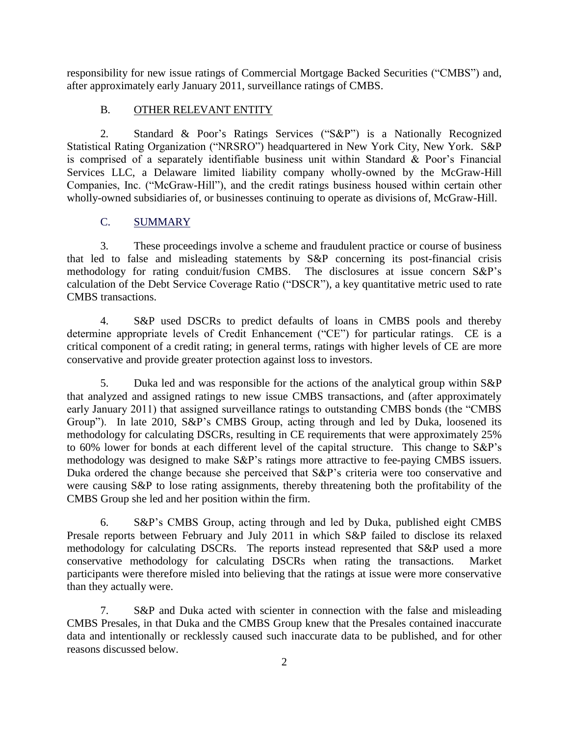responsibility for new issue ratings of Commercial Mortgage Backed Securities ("CMBS") and, after approximately early January 2011, surveillance ratings of CMBS.

# B. OTHER RELEVANT ENTITY

2. Standard & Poor's Ratings Services ("S&P") is a Nationally Recognized Statistical Rating Organization ("NRSRO") headquartered in New York City, New York. S&P is comprised of a separately identifiable business unit within Standard  $\&$  Poor's Financial Services LLC, a Delaware limited liability company wholly-owned by the McGraw-Hill Companies, Inc. ("McGraw-Hill"), and the credit ratings business housed within certain other wholly-owned subsidiaries of, or businesses continuing to operate as divisions of, McGraw-Hill.

# C. SUMMARY

3. These proceedings involve a scheme and fraudulent practice or course of business that led to false and misleading statements by S&P concerning its post-financial crisis methodology for rating conduit/fusion CMBS. The disclosures at issue concern S&P's calculation of the Debt Service Coverage Ratio ("DSCR"), a key quantitative metric used to rate CMBS transactions.

4. S&P used DSCRs to predict defaults of loans in CMBS pools and thereby determine appropriate levels of Credit Enhancement ("CE") for particular ratings. CE is a critical component of a credit rating; in general terms, ratings with higher levels of CE are more conservative and provide greater protection against loss to investors.

5. Duka led and was responsible for the actions of the analytical group within S&P that analyzed and assigned ratings to new issue CMBS transactions, and (after approximately early January 2011) that assigned surveillance ratings to outstanding CMBS bonds (the "CMBS Group"). In late 2010, S&P's CMBS Group, acting through and led by Duka, loosened its methodology for calculating DSCRs, resulting in CE requirements that were approximately 25% to 60% lower for bonds at each different level of the capital structure. This change to S&P's methodology was designed to make S&P's ratings more attractive to fee-paying CMBS issuers. Duka ordered the change because she perceived that S&P's criteria were too conservative and were causing S&P to lose rating assignments, thereby threatening both the profitability of the CMBS Group she led and her position within the firm.

6. S&P's CMBS Group, acting through and led by Duka, published eight CMBS Presale reports between February and July 2011 in which S&P failed to disclose its relaxed methodology for calculating DSCRs. The reports instead represented that S&P used a more conservative methodology for calculating DSCRs when rating the transactions. Market participants were therefore misled into believing that the ratings at issue were more conservative than they actually were.

7. S&P and Duka acted with scienter in connection with the false and misleading CMBS Presales, in that Duka and the CMBS Group knew that the Presales contained inaccurate data and intentionally or recklessly caused such inaccurate data to be published, and for other reasons discussed below.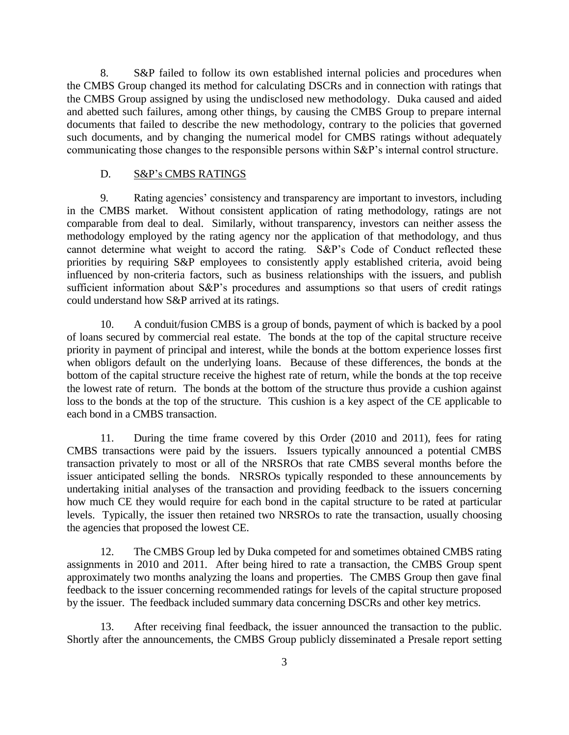8. S&P failed to follow its own established internal policies and procedures when the CMBS Group changed its method for calculating DSCRs and in connection with ratings that the CMBS Group assigned by using the undisclosed new methodology. Duka caused and aided and abetted such failures, among other things, by causing the CMBS Group to prepare internal documents that failed to describe the new methodology, contrary to the policies that governed such documents, and by changing the numerical model for CMBS ratings without adequately communicating those changes to the responsible persons within S&P's internal control structure.

#### D. S&P's CMBS RATINGS

9. Rating agencies' consistency and transparency are important to investors, including in the CMBS market. Without consistent application of rating methodology, ratings are not comparable from deal to deal. Similarly, without transparency, investors can neither assess the methodology employed by the rating agency nor the application of that methodology, and thus cannot determine what weight to accord the rating. S&P's Code of Conduct reflected these priorities by requiring S&P employees to consistently apply established criteria, avoid being influenced by non-criteria factors, such as business relationships with the issuers, and publish sufficient information about S&P's procedures and assumptions so that users of credit ratings could understand how S&P arrived at its ratings.

10. A conduit/fusion CMBS is a group of bonds, payment of which is backed by a pool of loans secured by commercial real estate. The bonds at the top of the capital structure receive priority in payment of principal and interest, while the bonds at the bottom experience losses first when obligors default on the underlying loans. Because of these differences, the bonds at the bottom of the capital structure receive the highest rate of return, while the bonds at the top receive the lowest rate of return. The bonds at the bottom of the structure thus provide a cushion against loss to the bonds at the top of the structure. This cushion is a key aspect of the CE applicable to each bond in a CMBS transaction.

11. During the time frame covered by this Order (2010 and 2011), fees for rating CMBS transactions were paid by the issuers. Issuers typically announced a potential CMBS transaction privately to most or all of the NRSROs that rate CMBS several months before the issuer anticipated selling the bonds. NRSROs typically responded to these announcements by undertaking initial analyses of the transaction and providing feedback to the issuers concerning how much CE they would require for each bond in the capital structure to be rated at particular levels. Typically, the issuer then retained two NRSROs to rate the transaction, usually choosing the agencies that proposed the lowest CE.

12. The CMBS Group led by Duka competed for and sometimes obtained CMBS rating assignments in 2010 and 2011. After being hired to rate a transaction, the CMBS Group spent approximately two months analyzing the loans and properties. The CMBS Group then gave final feedback to the issuer concerning recommended ratings for levels of the capital structure proposed by the issuer. The feedback included summary data concerning DSCRs and other key metrics.

13. After receiving final feedback, the issuer announced the transaction to the public. Shortly after the announcements, the CMBS Group publicly disseminated a Presale report setting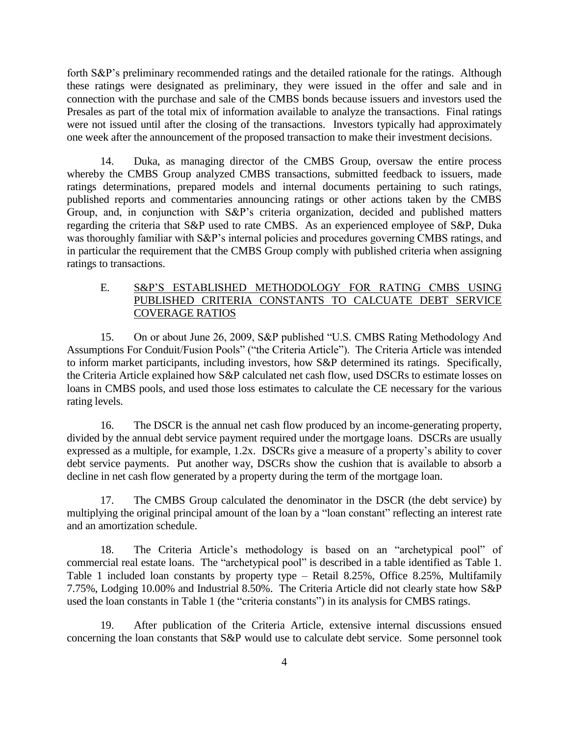forth S&P's preliminary recommended ratings and the detailed rationale for the ratings. Although these ratings were designated as preliminary, they were issued in the offer and sale and in connection with the purchase and sale of the CMBS bonds because issuers and investors used the Presales as part of the total mix of information available to analyze the transactions. Final ratings were not issued until after the closing of the transactions. Investors typically had approximately one week after the announcement of the proposed transaction to make their investment decisions.

14. Duka, as managing director of the CMBS Group, oversaw the entire process whereby the CMBS Group analyzed CMBS transactions, submitted feedback to issuers, made ratings determinations, prepared models and internal documents pertaining to such ratings, published reports and commentaries announcing ratings or other actions taken by the CMBS Group, and, in conjunction with S&P's criteria organization, decided and published matters regarding the criteria that S&P used to rate CMBS. As an experienced employee of S&P, Duka was thoroughly familiar with S&P's internal policies and procedures governing CMBS ratings, and in particular the requirement that the CMBS Group comply with published criteria when assigning ratings to transactions.

# E. S&P'S ESTABLISHED METHODOLOGY FOR RATING CMBS USING PUBLISHED CRITERIA CONSTANTS TO CALCUATE DEBT SERVICE COVERAGE RATIOS

15. On or about June 26, 2009, S&P published "U.S. CMBS Rating Methodology And Assumptions For Conduit/Fusion Pools" ("the Criteria Article"). The Criteria Article was intended to inform market participants, including investors, how S&P determined its ratings. Specifically, the Criteria Article explained how S&P calculated net cash flow, used DSCRs to estimate losses on loans in CMBS pools, and used those loss estimates to calculate the CE necessary for the various rating levels.

16. The DSCR is the annual net cash flow produced by an income-generating property, divided by the annual debt service payment required under the mortgage loans. DSCRs are usually expressed as a multiple, for example, 1.2x. DSCRs give a measure of a property's ability to cover debt service payments. Put another way, DSCRs show the cushion that is available to absorb a decline in net cash flow generated by a property during the term of the mortgage loan.

17. The CMBS Group calculated the denominator in the DSCR (the debt service) by multiplying the original principal amount of the loan by a "loan constant" reflecting an interest rate and an amortization schedule.

18. The Criteria Article's methodology is based on an "archetypical pool" of commercial real estate loans. The "archetypical pool" is described in a table identified as Table 1. Table 1 included loan constants by property type – Retail 8.25%, Office 8.25%, Multifamily 7.75%, Lodging 10.00% and Industrial 8.50%. The Criteria Article did not clearly state how S&P used the loan constants in Table 1 (the "criteria constants") in its analysis for CMBS ratings.

19. After publication of the Criteria Article, extensive internal discussions ensued concerning the loan constants that S&P would use to calculate debt service. Some personnel took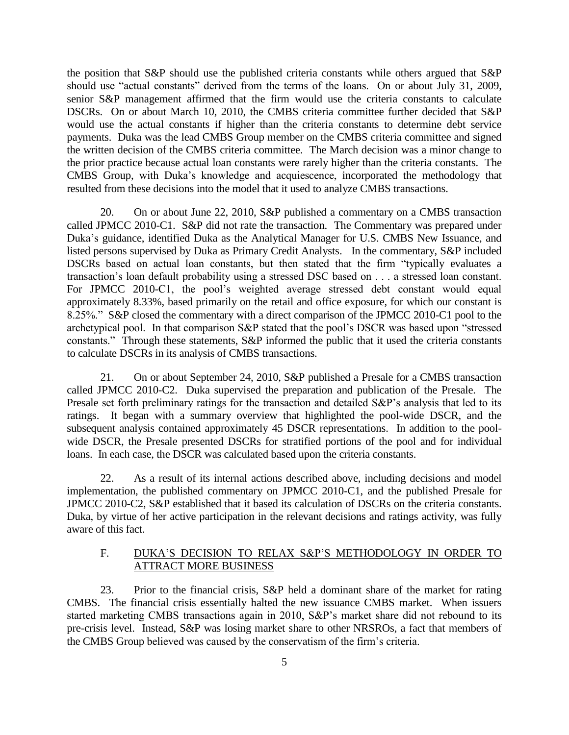the position that S&P should use the published criteria constants while others argued that S&P should use "actual constants" derived from the terms of the loans. On or about July 31, 2009, senior S&P management affirmed that the firm would use the criteria constants to calculate DSCRs. On or about March 10, 2010, the CMBS criteria committee further decided that S&P would use the actual constants if higher than the criteria constants to determine debt service payments. Duka was the lead CMBS Group member on the CMBS criteria committee and signed the written decision of the CMBS criteria committee. The March decision was a minor change to the prior practice because actual loan constants were rarely higher than the criteria constants. The CMBS Group, with Duka's knowledge and acquiescence, incorporated the methodology that resulted from these decisions into the model that it used to analyze CMBS transactions.

20. On or about June 22, 2010, S&P published a commentary on a CMBS transaction called JPMCC 2010-C1. S&P did not rate the transaction. The Commentary was prepared under Duka's guidance, identified Duka as the Analytical Manager for U.S. CMBS New Issuance, and listed persons supervised by Duka as Primary Credit Analysts. In the commentary, S&P included DSCRs based on actual loan constants, but then stated that the firm "typically evaluates a transaction's loan default probability using a stressed DSC based on . . . a stressed loan constant. For JPMCC 2010-C1, the pool's weighted average stressed debt constant would equal approximately 8.33%, based primarily on the retail and office exposure, for which our constant is 8.25%." S&P closed the commentary with a direct comparison of the JPMCC 2010-C1 pool to the archetypical pool. In that comparison S&P stated that the pool's DSCR was based upon "stressed constants." Through these statements, S&P informed the public that it used the criteria constants to calculate DSCRs in its analysis of CMBS transactions.

21. On or about September 24, 2010, S&P published a Presale for a CMBS transaction called JPMCC 2010-C2. Duka supervised the preparation and publication of the Presale. The Presale set forth preliminary ratings for the transaction and detailed S&P's analysis that led to its ratings. It began with a summary overview that highlighted the pool-wide DSCR, and the subsequent analysis contained approximately 45 DSCR representations. In addition to the poolwide DSCR, the Presale presented DSCRs for stratified portions of the pool and for individual loans. In each case, the DSCR was calculated based upon the criteria constants.

22. As a result of its internal actions described above, including decisions and model implementation, the published commentary on JPMCC 2010-C1, and the published Presale for JPMCC 2010-C2, S&P established that it based its calculation of DSCRs on the criteria constants. Duka, by virtue of her active participation in the relevant decisions and ratings activity, was fully aware of this fact.

# F. DUKA'S DECISION TO RELAX S&P'S METHODOLOGY IN ORDER TO ATTRACT MORE BUSINESS

23. Prior to the financial crisis, S&P held a dominant share of the market for rating CMBS. The financial crisis essentially halted the new issuance CMBS market. When issuers started marketing CMBS transactions again in 2010, S&P's market share did not rebound to its pre-crisis level. Instead, S&P was losing market share to other NRSROs, a fact that members of the CMBS Group believed was caused by the conservatism of the firm's criteria.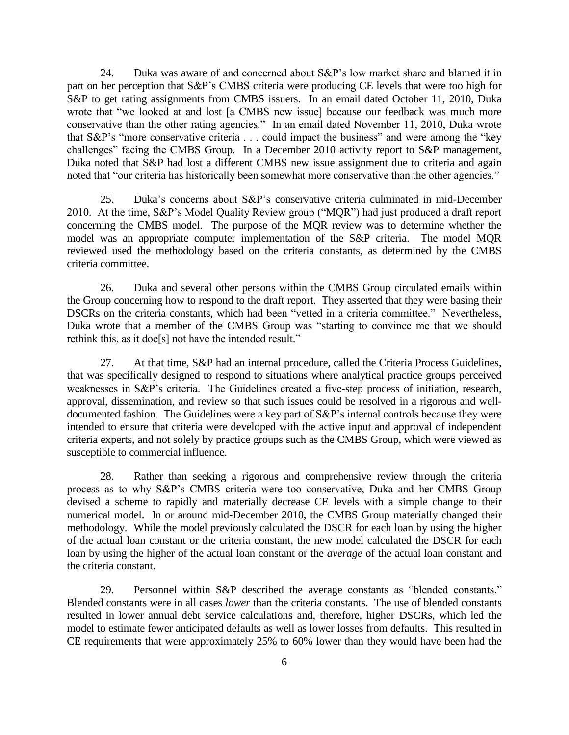24. Duka was aware of and concerned about S&P's low market share and blamed it in part on her perception that S&P's CMBS criteria were producing CE levels that were too high for S&P to get rating assignments from CMBS issuers. In an email dated October 11, 2010, Duka wrote that "we looked at and lost [a CMBS new issue] because our feedback was much more conservative than the other rating agencies." In an email dated November 11, 2010, Duka wrote that S&P's "more conservative criteria . . . could impact the business" and were among the "key challenges" facing the CMBS Group. In a December 2010 activity report to S&P management, Duka noted that S&P had lost a different CMBS new issue assignment due to criteria and again noted that "our criteria has historically been somewhat more conservative than the other agencies."

25. Duka's concerns about S&P's conservative criteria culminated in mid-December 2010. At the time, S&P's Model Quality Review group ("MQR") had just produced a draft report concerning the CMBS model. The purpose of the MQR review was to determine whether the model was an appropriate computer implementation of the S&P criteria. The model MQR reviewed used the methodology based on the criteria constants, as determined by the CMBS criteria committee.

26. Duka and several other persons within the CMBS Group circulated emails within the Group concerning how to respond to the draft report. They asserted that they were basing their DSCRs on the criteria constants, which had been "vetted in a criteria committee." Nevertheless, Duka wrote that a member of the CMBS Group was "starting to convince me that we should rethink this, as it doe[s] not have the intended result."

27. At that time, S&P had an internal procedure, called the Criteria Process Guidelines, that was specifically designed to respond to situations where analytical practice groups perceived weaknesses in S&P's criteria. The Guidelines created a five-step process of initiation, research, approval, dissemination, and review so that such issues could be resolved in a rigorous and welldocumented fashion. The Guidelines were a key part of S&P's internal controls because they were intended to ensure that criteria were developed with the active input and approval of independent criteria experts, and not solely by practice groups such as the CMBS Group, which were viewed as susceptible to commercial influence.

28. Rather than seeking a rigorous and comprehensive review through the criteria process as to why S&P's CMBS criteria were too conservative, Duka and her CMBS Group devised a scheme to rapidly and materially decrease CE levels with a simple change to their numerical model. In or around mid-December 2010, the CMBS Group materially changed their methodology. While the model previously calculated the DSCR for each loan by using the higher of the actual loan constant or the criteria constant, the new model calculated the DSCR for each loan by using the higher of the actual loan constant or the *average* of the actual loan constant and the criteria constant.

29. Personnel within S&P described the average constants as "blended constants." Blended constants were in all cases *lower* than the criteria constants. The use of blended constants resulted in lower annual debt service calculations and, therefore, higher DSCRs, which led the model to estimate fewer anticipated defaults as well as lower losses from defaults. This resulted in CE requirements that were approximately 25% to 60% lower than they would have been had the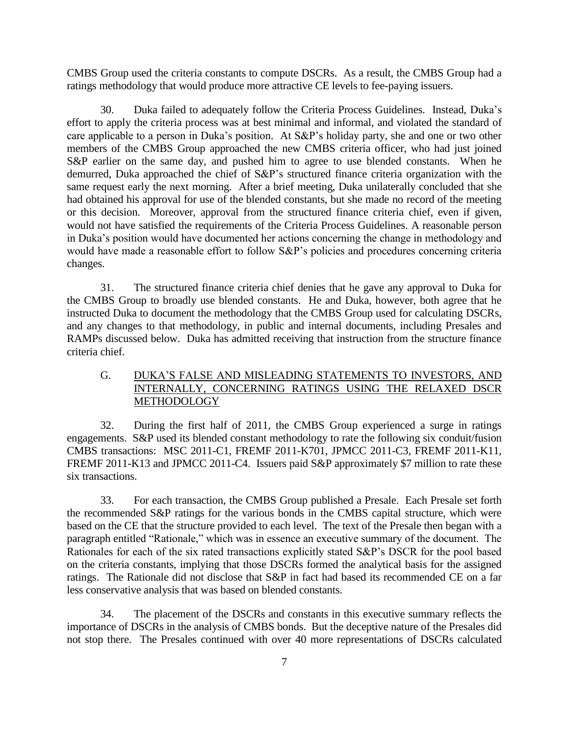CMBS Group used the criteria constants to compute DSCRs. As a result, the CMBS Group had a ratings methodology that would produce more attractive CE levels to fee-paying issuers.

30. Duka failed to adequately follow the Criteria Process Guidelines. Instead, Duka's effort to apply the criteria process was at best minimal and informal, and violated the standard of care applicable to a person in Duka's position. At S&P's holiday party, she and one or two other members of the CMBS Group approached the new CMBS criteria officer, who had just joined S&P earlier on the same day, and pushed him to agree to use blended constants. When he demurred, Duka approached the chief of S&P's structured finance criteria organization with the same request early the next morning. After a brief meeting, Duka unilaterally concluded that she had obtained his approval for use of the blended constants, but she made no record of the meeting or this decision. Moreover, approval from the structured finance criteria chief, even if given, would not have satisfied the requirements of the Criteria Process Guidelines. A reasonable person in Duka's position would have documented her actions concerning the change in methodology and would have made a reasonable effort to follow S&P's policies and procedures concerning criteria changes.

31. The structured finance criteria chief denies that he gave any approval to Duka for the CMBS Group to broadly use blended constants. He and Duka, however, both agree that he instructed Duka to document the methodology that the CMBS Group used for calculating DSCRs, and any changes to that methodology, in public and internal documents, including Presales and RAMPs discussed below. Duka has admitted receiving that instruction from the structure finance criteria chief.

# G. DUKA'S FALSE AND MISLEADING STATEMENTS TO INVESTORS, AND INTERNALLY, CONCERNING RATINGS USING THE RELAXED DSCR METHODOLOGY

32. During the first half of 2011, the CMBS Group experienced a surge in ratings engagements. S&P used its blended constant methodology to rate the following six conduit/fusion CMBS transactions: MSC 2011-C1, FREMF 2011-K701, JPMCC 2011-C3, FREMF 2011-K11, FREMF 2011-K13 and JPMCC 2011-C4. Issuers paid S&P approximately \$7 million to rate these six transactions.

33. For each transaction, the CMBS Group published a Presale. Each Presale set forth the recommended S&P ratings for the various bonds in the CMBS capital structure, which were based on the CE that the structure provided to each level. The text of the Presale then began with a paragraph entitled "Rationale," which was in essence an executive summary of the document. The Rationales for each of the six rated transactions explicitly stated S&P's DSCR for the pool based on the criteria constants, implying that those DSCRs formed the analytical basis for the assigned ratings. The Rationale did not disclose that S&P in fact had based its recommended CE on a far less conservative analysis that was based on blended constants.

34. The placement of the DSCRs and constants in this executive summary reflects the importance of DSCRs in the analysis of CMBS bonds. But the deceptive nature of the Presales did not stop there. The Presales continued with over 40 more representations of DSCRs calculated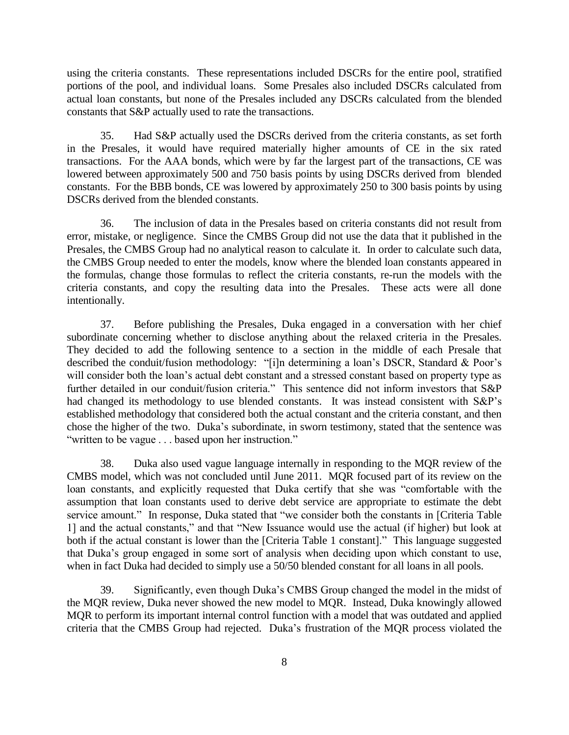using the criteria constants. These representations included DSCRs for the entire pool, stratified portions of the pool, and individual loans. Some Presales also included DSCRs calculated from actual loan constants, but none of the Presales included any DSCRs calculated from the blended constants that S&P actually used to rate the transactions.

35. Had S&P actually used the DSCRs derived from the criteria constants, as set forth in the Presales, it would have required materially higher amounts of CE in the six rated transactions. For the AAA bonds, which were by far the largest part of the transactions, CE was lowered between approximately 500 and 750 basis points by using DSCRs derived from blended constants. For the BBB bonds, CE was lowered by approximately 250 to 300 basis points by using DSCRs derived from the blended constants.

36. The inclusion of data in the Presales based on criteria constants did not result from error, mistake, or negligence. Since the CMBS Group did not use the data that it published in the Presales, the CMBS Group had no analytical reason to calculate it. In order to calculate such data, the CMBS Group needed to enter the models, know where the blended loan constants appeared in the formulas, change those formulas to reflect the criteria constants, re-run the models with the criteria constants, and copy the resulting data into the Presales. These acts were all done intentionally.

37. Before publishing the Presales, Duka engaged in a conversation with her chief subordinate concerning whether to disclose anything about the relaxed criteria in the Presales. They decided to add the following sentence to a section in the middle of each Presale that described the conduit/fusion methodology: "[i]n determining a loan's DSCR, Standard & Poor's will consider both the loan's actual debt constant and a stressed constant based on property type as further detailed in our conduit/fusion criteria." This sentence did not inform investors that S&P had changed its methodology to use blended constants. It was instead consistent with S&P's established methodology that considered both the actual constant and the criteria constant, and then chose the higher of the two. Duka's subordinate, in sworn testimony, stated that the sentence was "written to be vague . . . based upon her instruction."

38. Duka also used vague language internally in responding to the MQR review of the CMBS model, which was not concluded until June 2011. MQR focused part of its review on the loan constants, and explicitly requested that Duka certify that she was "comfortable with the assumption that loan constants used to derive debt service are appropriate to estimate the debt service amount." In response, Duka stated that "we consider both the constants in [Criteria Table 1] and the actual constants," and that "New Issuance would use the actual (if higher) but look at both if the actual constant is lower than the [Criteria Table 1 constant]." This language suggested that Duka's group engaged in some sort of analysis when deciding upon which constant to use, when in fact Duka had decided to simply use a 50/50 blended constant for all loans in all pools.

39. Significantly, even though Duka's CMBS Group changed the model in the midst of the MQR review, Duka never showed the new model to MQR. Instead, Duka knowingly allowed MQR to perform its important internal control function with a model that was outdated and applied criteria that the CMBS Group had rejected. Duka's frustration of the MQR process violated the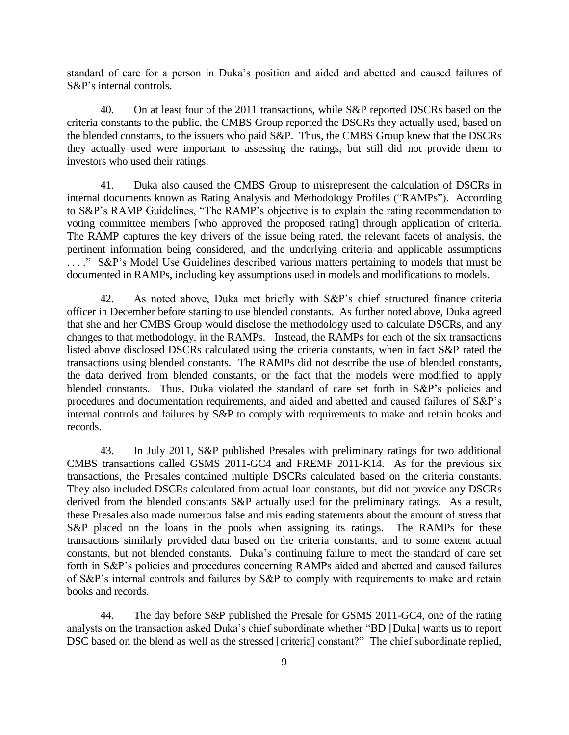standard of care for a person in Duka's position and aided and abetted and caused failures of S&P's internal controls.

40. On at least four of the 2011 transactions, while S&P reported DSCRs based on the criteria constants to the public, the CMBS Group reported the DSCRs they actually used, based on the blended constants, to the issuers who paid S&P. Thus, the CMBS Group knew that the DSCRs they actually used were important to assessing the ratings, but still did not provide them to investors who used their ratings.

41. Duka also caused the CMBS Group to misrepresent the calculation of DSCRs in internal documents known as Rating Analysis and Methodology Profiles ("RAMPs"). According to S&P's RAMP Guidelines, "The RAMP's objective is to explain the rating recommendation to voting committee members [who approved the proposed rating] through application of criteria. The RAMP captures the key drivers of the issue being rated, the relevant facets of analysis, the pertinent information being considered, and the underlying criteria and applicable assumptions ...." S&P's Model Use Guidelines described various matters pertaining to models that must be documented in RAMPs, including key assumptions used in models and modifications to models.

42. As noted above, Duka met briefly with S&P's chief structured finance criteria officer in December before starting to use blended constants. As further noted above, Duka agreed that she and her CMBS Group would disclose the methodology used to calculate DSCRs, and any changes to that methodology, in the RAMPs. Instead, the RAMPs for each of the six transactions listed above disclosed DSCRs calculated using the criteria constants, when in fact S&P rated the transactions using blended constants. The RAMPs did not describe the use of blended constants, the data derived from blended constants, or the fact that the models were modified to apply blended constants. Thus, Duka violated the standard of care set forth in S&P's policies and procedures and documentation requirements, and aided and abetted and caused failures of S&P's internal controls and failures by S&P to comply with requirements to make and retain books and records.

43. In July 2011, S&P published Presales with preliminary ratings for two additional CMBS transactions called GSMS 2011-GC4 and FREMF 2011-K14. As for the previous six transactions, the Presales contained multiple DSCRs calculated based on the criteria constants. They also included DSCRs calculated from actual loan constants, but did not provide any DSCRs derived from the blended constants S&P actually used for the preliminary ratings. As a result, these Presales also made numerous false and misleading statements about the amount of stress that S&P placed on the loans in the pools when assigning its ratings. The RAMPs for these transactions similarly provided data based on the criteria constants, and to some extent actual constants, but not blended constants. Duka's continuing failure to meet the standard of care set forth in S&P's policies and procedures concerning RAMPs aided and abetted and caused failures of S&P's internal controls and failures by S&P to comply with requirements to make and retain books and records.

44. The day before S&P published the Presale for GSMS 2011-GC4, one of the rating analysts on the transaction asked Duka's chief subordinate whether "BD [Duka] wants us to report DSC based on the blend as well as the stressed [criteria] constant?" The chief subordinate replied,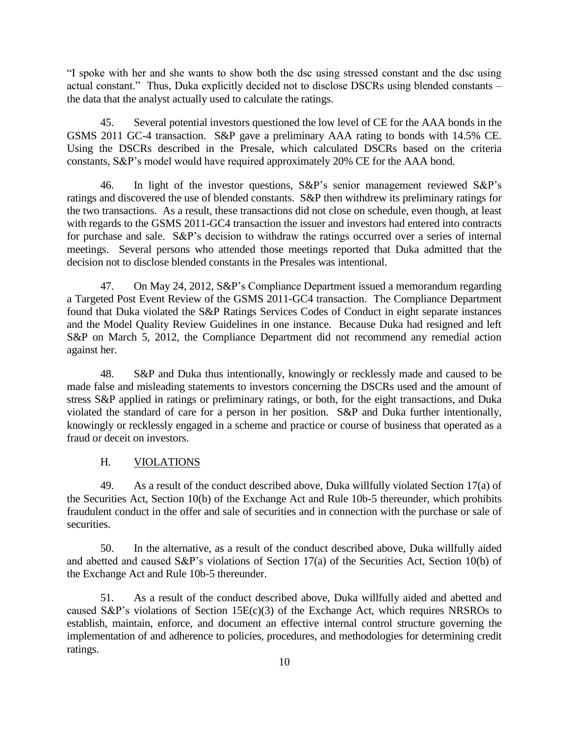"I spoke with her and she wants to show both the dsc using stressed constant and the dsc using actual constant." Thus, Duka explicitly decided not to disclose DSCRs using blended constants – the data that the analyst actually used to calculate the ratings.

45. Several potential investors questioned the low level of CE for the AAA bonds in the GSMS 2011 GC-4 transaction. S&P gave a preliminary AAA rating to bonds with 14.5% CE. Using the DSCRs described in the Presale, which calculated DSCRs based on the criteria constants, S&P's model would have required approximately 20% CE for the AAA bond.

46. In light of the investor questions, S&P's senior management reviewed S&P's ratings and discovered the use of blended constants. S&P then withdrew its preliminary ratings for the two transactions. As a result, these transactions did not close on schedule, even though, at least with regards to the GSMS 2011-GC4 transaction the issuer and investors had entered into contracts for purchase and sale. S&P's decision to withdraw the ratings occurred over a series of internal meetings. Several persons who attended those meetings reported that Duka admitted that the decision not to disclose blended constants in the Presales was intentional.

47. On May 24, 2012, S&P's Compliance Department issued a memorandum regarding a Targeted Post Event Review of the GSMS 2011-GC4 transaction. The Compliance Department found that Duka violated the S&P Ratings Services Codes of Conduct in eight separate instances and the Model Quality Review Guidelines in one instance. Because Duka had resigned and left S&P on March 5, 2012, the Compliance Department did not recommend any remedial action against her.

48. S&P and Duka thus intentionally, knowingly or recklessly made and caused to be made false and misleading statements to investors concerning the DSCRs used and the amount of stress S&P applied in ratings or preliminary ratings, or both, for the eight transactions, and Duka violated the standard of care for a person in her position. S&P and Duka further intentionally, knowingly or recklessly engaged in a scheme and practice or course of business that operated as a fraud or deceit on investors.

#### H. VIOLATIONS

49. As a result of the conduct described above, Duka willfully violated Section 17(a) of the Securities Act, Section 10(b) of the Exchange Act and Rule 10b-5 thereunder, which prohibits fraudulent conduct in the offer and sale of securities and in connection with the purchase or sale of securities.

50. In the alternative, as a result of the conduct described above, Duka willfully aided and abetted and caused S&P's violations of Section 17(a) of the Securities Act, Section 10(b) of the Exchange Act and Rule 10b-5 thereunder.

51. As a result of the conduct described above, Duka willfully aided and abetted and caused S&P's violations of Section 15 $E(c)(3)$  of the Exchange Act, which requires NRSROs to establish, maintain, enforce, and document an effective internal control structure governing the implementation of and adherence to policies, procedures, and methodologies for determining credit ratings.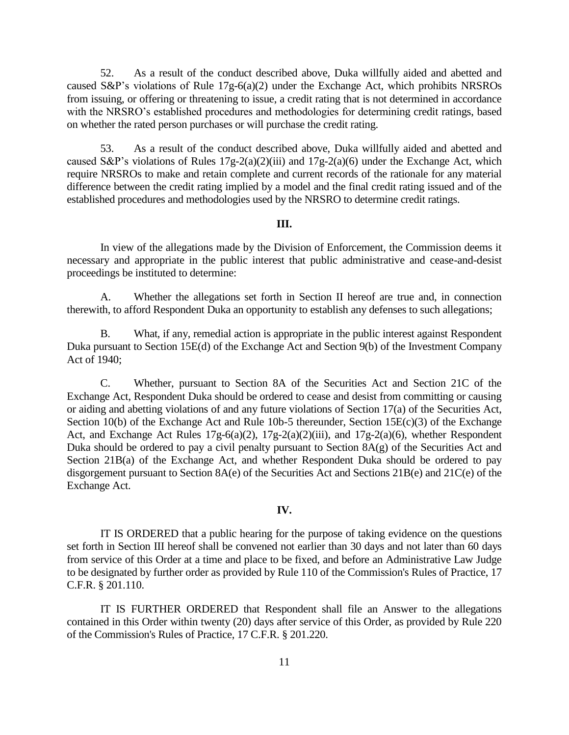52. As a result of the conduct described above, Duka willfully aided and abetted and caused S&P's violations of Rule 17g-6(a)(2) under the Exchange Act, which prohibits NRSROs from issuing, or offering or threatening to issue, a credit rating that is not determined in accordance with the NRSRO's established procedures and methodologies for determining credit ratings, based on whether the rated person purchases or will purchase the credit rating.

53. As a result of the conduct described above, Duka willfully aided and abetted and caused S&P's violations of Rules  $17g-2(a)(2)(iii)$  and  $17g-2(a)(6)$  under the Exchange Act, which require NRSROs to make and retain complete and current records of the rationale for any material difference between the credit rating implied by a model and the final credit rating issued and of the established procedures and methodologies used by the NRSRO to determine credit ratings.

#### **III.**

In view of the allegations made by the Division of Enforcement, the Commission deems it necessary and appropriate in the public interest that public administrative and cease-and-desist proceedings be instituted to determine:

A. Whether the allegations set forth in Section II hereof are true and, in connection therewith, to afford Respondent Duka an opportunity to establish any defenses to such allegations;

B. What, if any, remedial action is appropriate in the public interest against Respondent Duka pursuant to Section 15E(d) of the Exchange Act and Section 9(b) of the Investment Company Act of 1940;

C. Whether, pursuant to Section 8A of the Securities Act and Section 21C of the Exchange Act, Respondent Duka should be ordered to cease and desist from committing or causing or aiding and abetting violations of and any future violations of Section 17(a) of the Securities Act, Section 10(b) of the Exchange Act and Rule 10b-5 thereunder, Section 15E(c)(3) of the Exchange Act, and Exchange Act Rules 17g-6(a)(2), 17g-2(a)(2)(iii), and 17g-2(a)(6), whether Respondent Duka should be ordered to pay a civil penalty pursuant to Section  $8A(g)$  of the Securities Act and Section 21B(a) of the Exchange Act, and whether Respondent Duka should be ordered to pay disgorgement pursuant to Section 8A(e) of the Securities Act and Sections 21B(e) and 21C(e) of the Exchange Act.

#### **IV.**

IT IS ORDERED that a public hearing for the purpose of taking evidence on the questions set forth in Section III hereof shall be convened not earlier than 30 days and not later than 60 days from service of this Order at a time and place to be fixed, and before an Administrative Law Judge to be designated by further order as provided by Rule 110 of the Commission's Rules of Practice, 17 C.F.R. § 201.110.

IT IS FURTHER ORDERED that Respondent shall file an Answer to the allegations contained in this Order within twenty (20) days after service of this Order, as provided by Rule 220 of the Commission's Rules of Practice, 17 C.F.R. § 201.220.